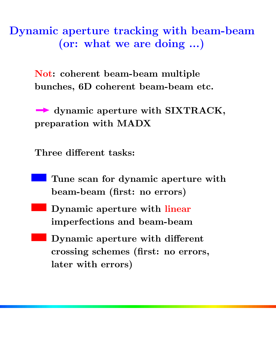**Dynamic aperture tracking with beam-beam (or: what we are doing ...)**

> **Not: coherent beam-beam multiple bunches, 6D coherent beam-beam etc.**

**dynamic aperture with SIXTRACK, preparation with MADX**

**Three different tasks:**

- **Tune scan for dynamic aperture with beam-beam (first: no errors)**
- **Dynamic aperture with linear imperfections and beam-beam**
- **Dynamic aperture with different crossing schemes (first: no errors, later with errors)**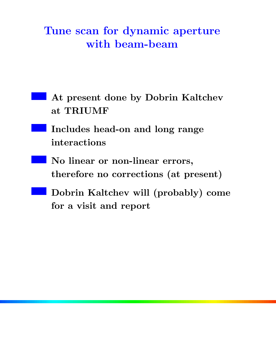# **Tune scan for dynamic aperture with beam-beam**

- **At present done by Dobrin Kaltchev at TRIUMF**
- **Includes head-on and long range interactions**
- **No linear or non-linear errors, therefore no corrections (at present)**
- **Dobrin Kaltchev will (probably) come for a visit and report**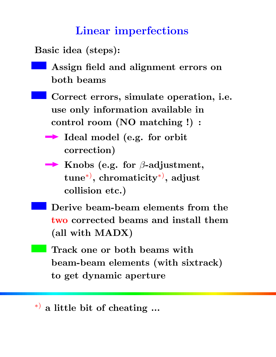# **Linear imperfections**

**Basic idea (steps):**

- **Assign field and alignment errors on both beams**
- **Correct errors, simulate operation, i.e. use only information available in control room (NO matching !) :**
	- **Ideal model (e.g. for orbit correction)**
	- **Knobs (e.g. for** β**-adjustment, tune**∗) **, chromaticity**∗) **, adjust collision etc.)**
- **Derive beam-beam elements from the two corrected beams and install them (all with MADX)**
- **Track one or both beams with beam-beam elements (with sixtrack) to get dynamic aperture**

<sup>∗</sup>) **a little bit of cheating ...**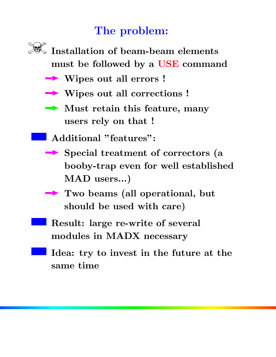# **The problem:**



- **Wipes out all errors !**
- **Wipes out all corrections !**
- **Must retain this feature, many users rely on that !**
- **Additional "features":**
- **Special treatment of correctors (a booby-trap even for well established MAD users...)**
- **Two beams (all operational, but should be used with care)**
- **Result: large re-write of several modules in MADX necessary**
- **Idea: try to invest in the future at the same time**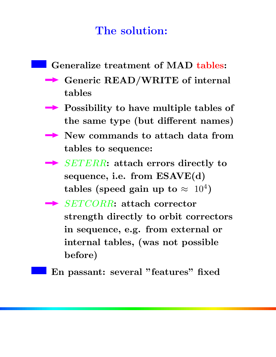# **The solution:**



- **Generic READ/WRITE of internal tables**
- **Possibility to have multiple tables of the same type (but different names)**
- **New commands to attach data from tables to sequence:**
- **► SETERR: attach errors directly to sequence, i.e. from ESAVE(d) tables (speed gain up to**  $\approx 10^4$ )
- **► SETCORR: attach corrector strength directly to orbit correctors in sequence, e.g. from external or internal tables, (was not possible before)**

**En passant: several "features" fixed**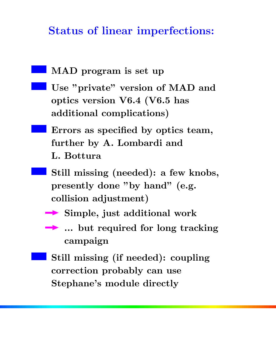### **Status of linear imperfections:**

- **MAD program is set up**
- **Use "private" version of MAD and optics version V6.4 (V6.5 has additional complications)**
	- **Errors as specified by optics team, further by A. Lombardi and L. Bottura**
		- **Still missing (needed): a few knobs, presently done "by hand" (e.g. collision adjustment)**
		- **Simple, just additional work**
		- **... but required for long tracking campaign**
	- **Still missing (if needed): coupling correction probably can use Stephane's module directly**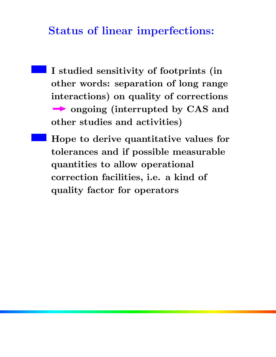#### **Status of linear imperfections:**

- **I studied sensitivity of footprints (in other words: separation of long range interactions) on quality of corrections ongoing (interrupted by CAS and other studies and activities)**
- **Hope to derive quantitative values for tolerances and if possible measurable quantities to allow operational correction facilities, i.e. a kind of quality factor for operators**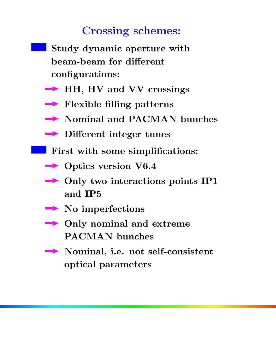### **Crossing schemes:**

- **Study dynamic aperture with beam-beam for different configurations:**
- **HH, HV and VV crossings**
- **Flexible filling patterns**
- **Nominal and PACMAN bunches**
- **Different integer tunes**
- **First with some simplifications:** 
	- **→ Optics version V6.4**
	- **→ Only two interactions points IP1 and IP5**
	- **No imperfections**
	- **Only nominal and extreme PACMAN bunches**
	- **Nominal, i.e. not self-consistent optical parameters**